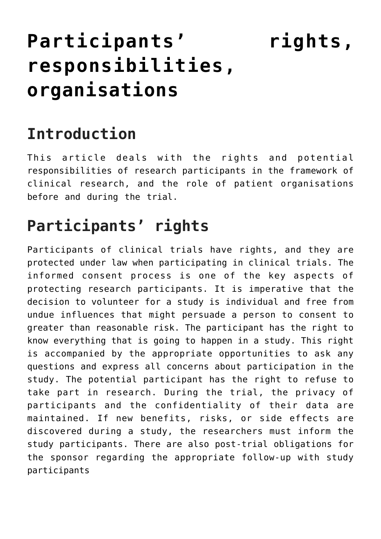# **[Participants' rights,](https://toolbox.eupati.eu/resources/participants-rights-responsibilities-organisations/) [responsibilities,](https://toolbox.eupati.eu/resources/participants-rights-responsibilities-organisations/) [organisations](https://toolbox.eupati.eu/resources/participants-rights-responsibilities-organisations/)**

## **Introduction**

This article deals with the rights and potential responsibilities of research participants in the framework of clinical research, and the role of patient organisations before and during the trial.

# **Participants' rights**

Participants of clinical trials have rights, and they are protected under law when participating in clinical trials. The informed consent process is one of the key aspects of protecting research participants. It is imperative that the decision to volunteer for a study is individual and free from undue influences that might persuade a person to consent to greater than reasonable risk. The participant has the right to know everything that is going to happen in a study. This right is accompanied by the appropriate opportunities to ask any questions and express all concerns about participation in the study. The potential participant has the right to refuse to take part in research. During the trial, the privacy of participants and the confidentiality of their data are maintained. If new benefits, risks, or side effects are discovered during a study, the researchers must inform the study participants. There are also post-trial obligations for the sponsor regarding the appropriate follow-up with study participants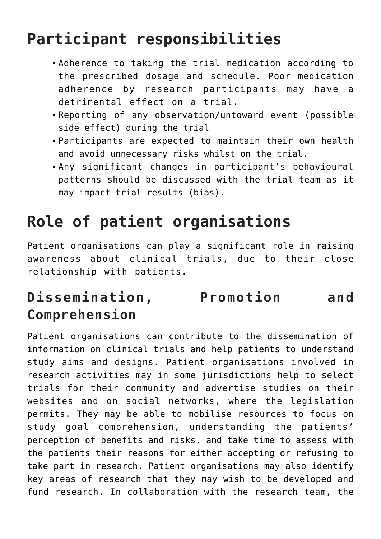## **Participant responsibilities**

- Adherence to taking the trial medication according to the prescribed dosage and schedule. Poor medication adherence by research participants may have a detrimental effect on a trial.
- Reporting of any observation/untoward event (possible side effect) during the trial
- Participants are expected to maintain their own health and avoid unnecessary risks whilst on the trial.
- Any significant changes in participant's behavioural patterns should be discussed with the trial team as it may impact trial results (bias).

# **Role of patient organisations**

Patient organisations can play a significant role in raising awareness about clinical trials, due to their close relationship with patients.

### **Dissemination, Promotion and Comprehension**

Patient organisations can contribute to the dissemination of information on clinical trials and help patients to understand study aims and designs. Patient organisations involved in research activities may in some jurisdictions help to select trials for their community and advertise studies on their websites and on social networks, where the legislation permits. They may be able to mobilise resources to focus on study goal comprehension, understanding the patients' perception of benefits and risks, and take time to assess with the patients their reasons for either accepting or refusing to take part in research. Patient organisations may also identify key areas of research that they may wish to be developed and fund research. In collaboration with the research team, the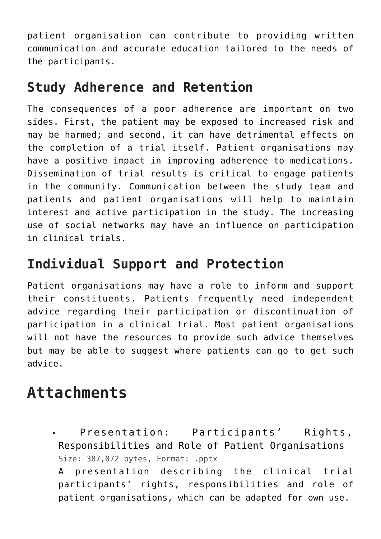patient organisation can contribute to providing written communication and accurate education tailored to the needs of the participants.

#### **Study Adherence and Retention**

The consequences of a poor adherence are important on two sides. First, the patient may be exposed to increased risk and may be harmed; and second, it can have detrimental effects on the completion of a trial itself. Patient organisations may have a positive impact in improving adherence to medications. Dissemination of trial results is critical to engage patients in the community. Communication between the study team and patients and patient organisations will help to maintain interest and active participation in the study. The increasing use of social networks may have an influence on participation in clinical trials.

#### **Individual Support and Protection**

Patient organisations may have a role to inform and support their constituents. Patients frequently need independent advice regarding their participation or discontinuation of participation in a clinical trial. Most patient organisations will not have the resources to provide such advice themselves but may be able to suggest where patients can go to get such advice.

### **Attachments**

[Presentation: Participants' Rights,](https://toolbox.eupati.eu/wp-content/uploads/sites/4/2020/07/Participants-Rights-Responsibilities-Organisations.pptx) [Responsibilities and Role of Patient Organisations](https://toolbox.eupati.eu/wp-content/uploads/sites/4/2020/07/Participants-Rights-Responsibilities-Organisations.pptx) Size: 387,072 bytes, Format: .pptx

A presentation describing the clinical trial participants' rights, responsibilities and role of patient organisations, which can be adapted for own use.